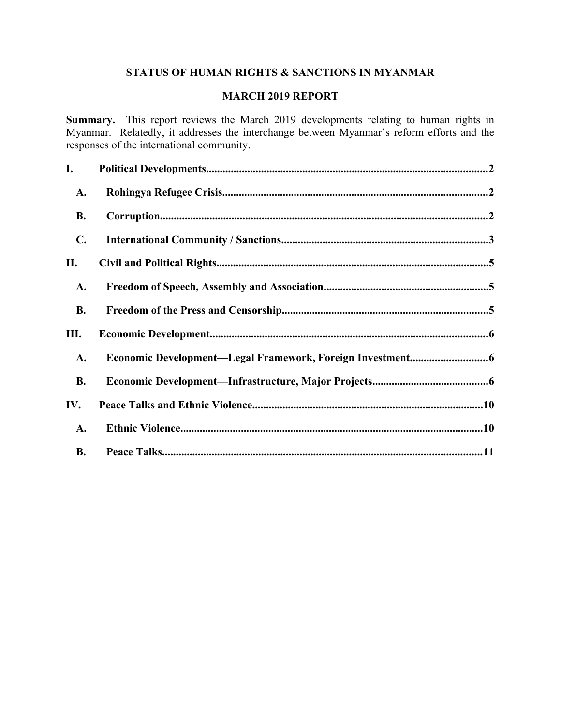# **STATUS OF HUMAN RIGHTS & SANCTIONS IN MYANMAR**

# **MARCH 2019 REPORT**

**Summary.** This report reviews the March 2019 developments relating to human rights in Myanmar. Relatedly, it addresses the interchange between Myanmar's reform efforts and the responses of the international community.

| I.             |  |
|----------------|--|
| <b>A.</b>      |  |
| <b>B.</b>      |  |
| $\mathbf{C}$ . |  |
| П.             |  |
| <b>A.</b>      |  |
| <b>B.</b>      |  |
| Ш.             |  |
| A.             |  |
| <b>B.</b>      |  |
| IV.            |  |
| A.             |  |
| <b>B.</b>      |  |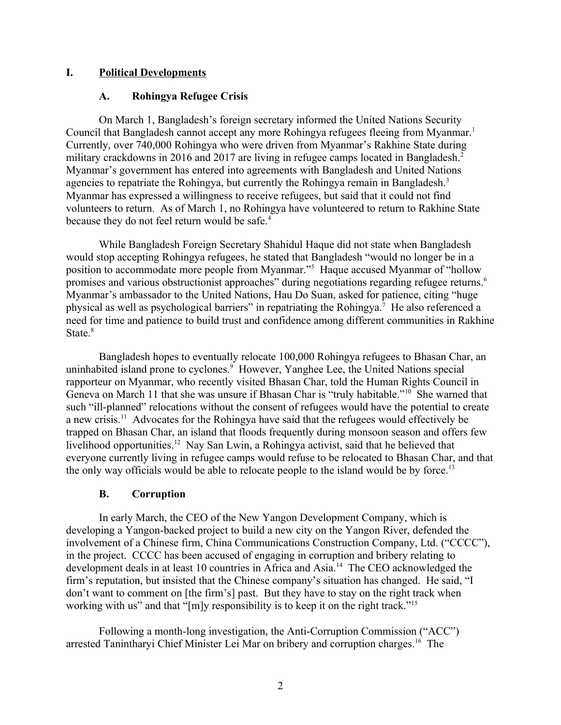### **I. Political Developments**

### <span id="page-1-2"></span><span id="page-1-0"></span>**A. Rohingya Refugee Crisis**

On March 1, Bangladesh's foreign secretary informed the United Nations Security Council that Bangladesh cannot accept any more Rohingya refugees fleeing from Myanmar.<sup>1</sup> Currently, over 740,000 Rohingya who were driven from Myanmar's Rakhine State during military crackdowns in 2016 and 2017 are living in refugee camps located in Bangladesh.<sup>2</sup> Myanmar's government has entered into agreements with Bangladesh and United Nations agencies to repatriate the Rohingya, but currently the Rohingya remain in Bangladesh.<sup>3</sup> Myanmar has expressed a willingness to receive refugees, but said that it could not find volunteers to return. As of March 1, no Rohingya have volunteered to return to Rakhine State because they do not feel return would be safe.<sup>4</sup>

While Bangladesh Foreign Secretary Shahidul Haque did not state when Bangladesh would stop accepting Rohingya refugees, he stated that Bangladesh "would no longer be in a position to accommodate more people from Myanmar."<sup>5</sup> Haque accused Myanmar of "hollow promises and various obstructionist approaches" during negotiations regarding refugee returns.<sup>6</sup> Myanmar's ambassador to the United Nations, Hau Do Suan, asked for patience, citing "huge physical as well as psychological barriers" in repatriating the Rohingya.<sup>7</sup> He also referenced a need for time and patience to build trust and confidence among different communities in Rakhine State.<sup>8</sup>

Bangladesh hopes to eventually relocate 100,000 Rohingya refugees to Bhasan Char, an uninhabited island prone to cyclones.<sup>9</sup> However, Yanghee Lee, the United Nations special rapporteur on Myanmar, who recently visited Bhasan Char, told the Human Rights Council in Geneva on March 11 that she was unsure if Bhasan Char is "truly habitable."<sup>10</sup> She warned that such "ill-planned" relocations without the consent of refugees would have the potential to create a new crisis.<sup>11</sup> Advocates for the Rohingya have said that the refugees would effectively be trapped on Bhasan Char, an island that floods frequently during monsoon season and offers few livelihood opportunities.<sup>12</sup> Nay San Lwin, a Rohingya activist, said that he believed that everyone currently living in refugee camps would refuse to be relocated to Bhasan Char, and that the only way officials would be able to relocate people to the island would be by force.<sup>13</sup>

## <span id="page-1-1"></span>**B. Corruption**

In early March, the CEO of the New Yangon Development Company, which is developing a Yangon-backed project to build a new city on the Yangon River, defended the involvement of a Chinese firm, China Communications Construction Company, Ltd. ("CCCC"), in the project. CCCC has been accused of engaging in corruption and bribery relating to development deals in at least 10 countries in Africa and Asia.<sup>14</sup> The CEO acknowledged the firm's reputation, but insisted that the Chinese company's situation has changed. He said, "I don't want to comment on [the firm's] past. But they have to stay on the right track when working with us" and that "[m]y responsibility is to keep it on the right track."<sup>15</sup>

Following a month-long investigation, the Anti-Corruption Commission ("ACC") arrested Tanintharyi Chief Minister Lei Mar on bribery and corruption charges.<sup>16</sup> The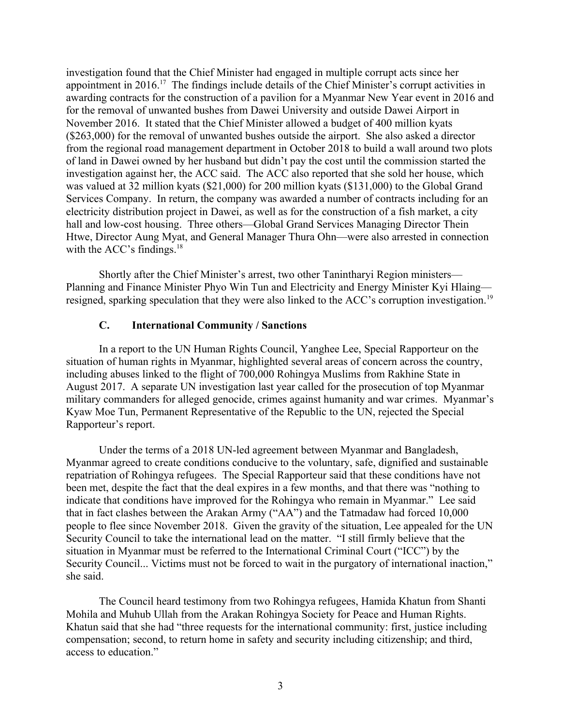investigation found that the Chief Minister had engaged in multiple corrupt acts since her appointment in 2016.<sup>17</sup> The findings include details of the Chief Minister's corrupt activities in awarding contracts for the construction of a pavilion for a Myanmar New Year event in 2016 and for the removal of unwanted bushes from Dawei University and outside Dawei Airport in November 2016. It stated that the Chief Minister allowed a budget of 400 million kyats (\$263,000) for the removal of unwanted bushes outside the airport. She also asked a director from the regional road management department in October 2018 to build a wall around two plots of land in Dawei owned by her husband but didn't pay the cost until the commission started the investigation against her, the ACC said. The ACC also reported that she sold her house, which was valued at 32 million kyats (\$21,000) for 200 million kyats (\$131,000) to the Global Grand Services Company. In return, the company was awarded a number of contracts including for an electricity distribution project in Dawei, as well as for the construction of a fish market, a city hall and low-cost housing. Three others—Global Grand Services Managing Director Thein Htwe, Director Aung Myat, and General Manager Thura Ohn—were also arrested in connection with the ACC's findings. $18$ 

Shortly after the Chief Minister's arrest, two other Tanintharyi Region ministers— Planning and Finance Minister Phyo Win Tun and Electricity and Energy Minister Kyi Hlaing resigned, sparking speculation that they were also linked to the ACC's corruption investigation.<sup>19</sup>

### <span id="page-2-0"></span>**C. International Community / Sanctions**

In a report to the UN Human Rights Council, Yanghee Lee, Special Rapporteur on the situation of human rights in Myanmar, highlighted several areas of concern across the country, including abuses linked to the flight of 700,000 Rohingya Muslims from Rakhine State in August 2017. A separate UN investigation last year called for the prosecution of top Myanmar military commanders for alleged genocide, crimes against humanity and war crimes. Myanmar's Kyaw Moe Tun, Permanent Representative of the Republic to the UN, rejected the Special Rapporteur's report.

Under the terms of a 2018 UN-led agreement between Myanmar and Bangladesh, Myanmar agreed to create conditions conducive to the voluntary, safe, dignified and sustainable repatriation of Rohingya refugees. The Special Rapporteur said that these conditions have not been met, despite the fact that the deal expires in a few months, and that there was "nothing to indicate that conditions have improved for the Rohingya who remain in Myanmar." Lee said that in fact clashes between the Arakan Army ("AA") and the Tatmadaw had forced 10,000 people to flee since November 2018. Given the gravity of the situation, Lee appealed for the UN Security Council to take the international lead on the matter. "I still firmly believe that the situation in Myanmar must be referred to the International Criminal Court ("ICC") by the Security Council... Victims must not be forced to wait in the purgatory of international inaction," she said.

The Council heard testimony from two Rohingya refugees, Hamida Khatun from Shanti Mohila and Muhub Ullah from the Arakan Rohingya Society for Peace and Human Rights. Khatun said that she had "three requests for the international community: first, justice including compensation; second, to return home in safety and security including citizenship; and third, access to education."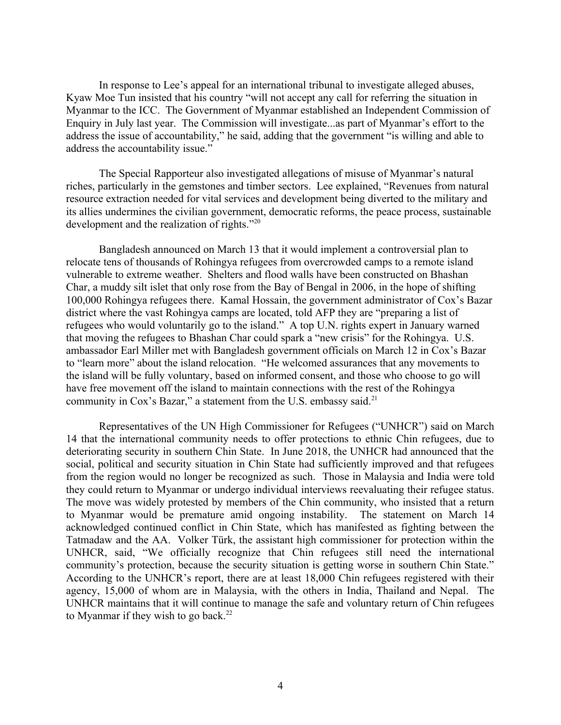In response to Lee's appeal for an international tribunal to investigate alleged abuses, Kyaw Moe Tun insisted that his country "will not accept any call for referring the situation in Myanmar to the ICC. The Government of Myanmar established an Independent Commission of Enquiry in July last year. The Commission will investigate...as part of Myanmar's effort to the address the issue of accountability," he said, adding that the government "is willing and able to address the accountability issue."

The Special Rapporteur also investigated allegations of misuse of Myanmar's natural riches, particularly in the gemstones and timber sectors. Lee explained, "Revenues from natural resource extraction needed for vital services and development being diverted to the military and its allies undermines the civilian government, democratic reforms, the peace process, sustainable development and the realization of rights."<sup>20</sup>

Bangladesh announced on March 13 that it would implement a controversial plan to relocate tens of thousands of Rohingya refugees from overcrowded camps to a remote island vulnerable to extreme weather. Shelters and flood walls have been constructed on Bhashan Char, a muddy silt islet that only rose from the Bay of Bengal in 2006, in the hope of shifting 100,000 Rohingya refugees there. Kamal Hossain, the government administrator of Cox's Bazar district where the vast Rohingya camps are located, told AFP they are "preparing a list of refugees who would voluntarily go to the island." A top U.N. rights expert in January warned that moving the refugees to Bhashan Char could spark a "new crisis" for the Rohingya. U.S. ambassador Earl Miller met with Bangladesh government officials on March 12 in Cox's Bazar to "learn more" about the island relocation. "He welcomed assurances that any movements to the island will be fully voluntary, based on informed consent, and those who choose to go will have free movement off the island to maintain connections with the rest of the Rohingya community in Cox's Bazar," a statement from the U.S. embassy said.<sup>21</sup>

Representatives of the UN High Commissioner for Refugees ("UNHCR") said on March 14 that the international community needs to offer protections to ethnic Chin refugees, due to deteriorating security in southern Chin State. In June 2018, the UNHCR had announced that the social, political and security situation in Chin State had sufficiently improved and that refugees from the region would no longer be recognized as such. Those in Malaysia and India were told they could return to Myanmar or undergo individual interviews reevaluating their refugee status. The move was widely protested by members of the Chin community, who insisted that a return to Myanmar would be premature amid ongoing instability. The statement on March 14 acknowledged continued conflict in Chin State, which has manifested as fighting between the Tatmadaw and the AA. Volker Türk, the assistant high commissioner for protection within the UNHCR, said, "We officially recognize that Chin refugees still need the international community's protection, because the security situation is getting worse in southern Chin State." According to the UNHCR's report, there are at least 18,000 Chin refugees registered with their agency, 15,000 of whom are in Malaysia, with the others in India, Thailand and Nepal. The UNHCR maintains that it will continue to manage the safe and voluntary return of Chin refugees to Myanmar if they wish to go back.<sup>22</sup>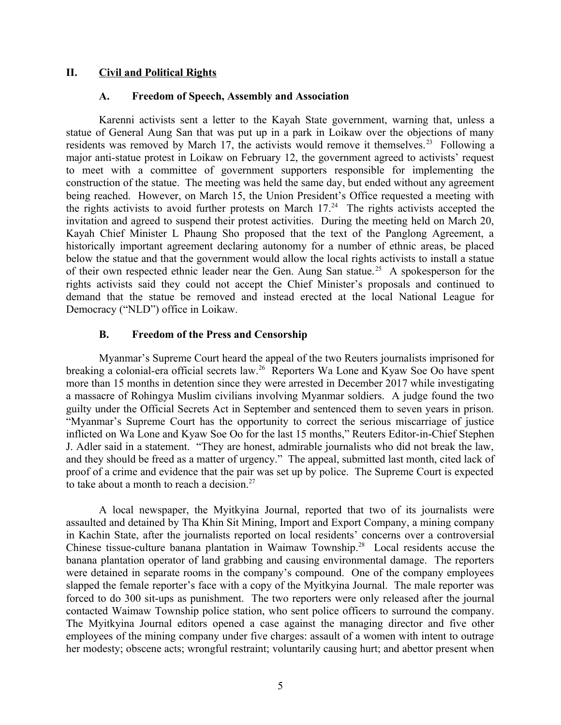### **II. Civil and Political Rights**

#### <span id="page-4-2"></span><span id="page-4-1"></span>**A. Freedom of Speech, Assembly and Association**

Karenni activists sent a letter to the Kayah State government, warning that, unless a statue of General Aung San that was put up in a park in Loikaw over the objections of many residents was removed by March 17, the activists would remove it themselves.<sup>23</sup> Following a major anti-statue protest in Loikaw on February 12, the government agreed to activists' request to meet with a committee of government supporters responsible for implementing the construction of the statue. The meeting was held the same day, but ended without any agreement being reached. However, on March 15, the Union President's Office requested a meeting with the rights activists to avoid further protests on March 17.<sup>24</sup> The rights activists accepted the invitation and agreed to suspend their protest activities. During the meeting held on March 20, Kayah Chief Minister L Phaung Sho proposed that the text of the Panglong Agreement, a historically important agreement declaring autonomy for a number of ethnic areas, be placed below the statue and that the government would allow the local rights activists to install a statue of their own respected ethnic leader near the Gen. Aung San statue.<sup>25</sup> A spokesperson for the rights activists said they could not accept the Chief Minister's proposals and continued to demand that the statue be removed and instead erected at the local National League for Democracy ("NLD") office in Loikaw.

#### <span id="page-4-0"></span>**B. Freedom of the Press and Censorship**

Myanmar's Supreme Court heard the appeal of the two Reuters journalists imprisoned for breaking a colonial-era official secrets law.<sup>26</sup> Reporters Wa Lone and Kyaw Soe Oo have spent more than 15 months in detention since they were arrested in December 2017 while investigating a massacre of Rohingya Muslim civilians involving Myanmar soldiers. A judge found the two guilty under the Official Secrets Act in September and sentenced them to seven years in prison. "Myanmar's Supreme Court has the opportunity to correct the serious miscarriage of justice inflicted on Wa Lone and Kyaw Soe Oo for the last 15 months," Reuters Editor-in-Chief Stephen J. Adler said in a statement. "They are honest, admirable journalists who did not break the law, and they should be freed as a matter of urgency." The appeal, submitted last month, cited lack of proof of a crime and evidence that the pair was set up by police. The Supreme Court is expected to take about a month to reach a decision.<sup>27</sup>

A local newspaper, the Myitkyina Journal, reported that two of its journalists were assaulted and detained by Tha Khin Sit Mining, Import and Export Company, a mining company in Kachin State, after the journalists reported on local residents' concerns over a controversial Chinese tissue-culture banana plantation in Waimaw Township.<sup>28</sup> Local residents accuse the banana plantation operator of land grabbing and causing environmental damage. The reporters were detained in separate rooms in the company's compound. One of the company employees slapped the female reporter's face with a copy of the Myitkyina Journal. The male reporter was forced to do 300 sit-ups as punishment. The two reporters were only released after the journal contacted Waimaw Township police station, who sent police officers to surround the company. The Myitkyina Journal editors opened a case against the managing director and five other employees of the mining company under five charges: assault of a women with intent to outrage her modesty; obscene acts; wrongful restraint; voluntarily causing hurt; and abettor present when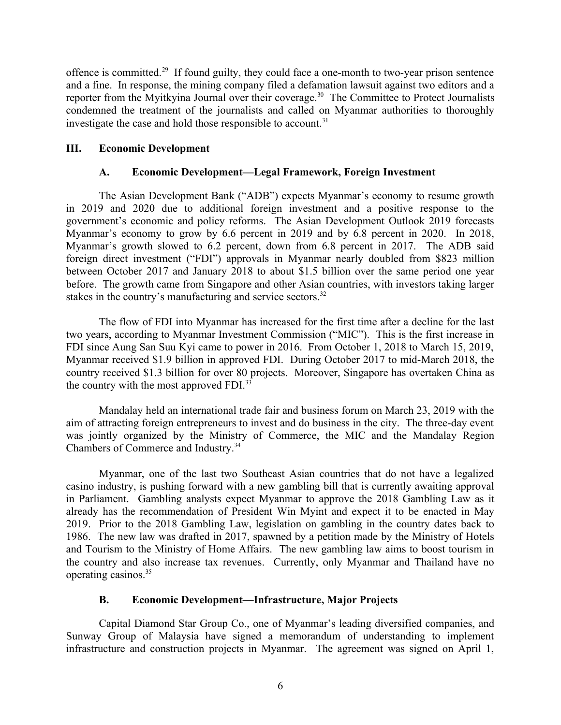offence is committed.<sup>29</sup> If found guilty, they could face a one-month to two-year prison sentence and a fine. In response, the mining company filed a defamation lawsuit against two editors and a reporter from the Myitkyina Journal over their coverage.<sup>30</sup> The Committee to Protect Journalists condemned the treatment of the journalists and called on Myanmar authorities to thoroughly investigate the case and hold those responsible to account.<sup>31</sup>

#### **III. Economic Development**

#### <span id="page-5-2"></span><span id="page-5-1"></span>**A. Economic Development—Legal Framework, Foreign Investment**

The Asian Development Bank ("ADB") expects Myanmar's economy to resume growth in 2019 and 2020 due to additional foreign investment and a positive response to the government's economic and policy reforms. The Asian Development Outlook 2019 forecasts Myanmar's economy to grow by 6.6 percent in 2019 and by 6.8 percent in 2020. In 2018, Myanmar's growth slowed to 6.2 percent, down from 6.8 percent in 2017. The ADB said foreign direct investment ("FDI") approvals in Myanmar nearly doubled from \$823 million between October 2017 and January 2018 to about \$1.5 billion over the same period one year before. The growth came from Singapore and other Asian countries, with investors taking larger stakes in the country's manufacturing and service sectors.<sup>32</sup>

The flow of FDI into Myanmar has increased for the first time after a decline for the last two years, according to Myanmar Investment Commission ("MIC"). This is the first increase in FDI since Aung San Suu Kyi came to power in 2016. From October 1, 2018 to March 15, 2019, Myanmar received \$1.9 billion in approved FDI. During October 2017 to mid-March 2018, the country received \$1.3 billion for over 80 projects. Moreover, Singapore has overtaken China as the country with the most approved FDI.<sup>33</sup>

Mandalay held an international trade fair and business forum on March 23, 2019 with the aim of attracting foreign entrepreneurs to invest and do business in the city. The three-day event was jointly organized by the Ministry of Commerce, the MIC and the Mandalay Region Chambers of Commerce and Industry.<sup>34</sup>

Myanmar, one of the last two Southeast Asian countries that do not have a legalized casino industry, is pushing forward with a new gambling bill that is currently awaiting approval in Parliament. Gambling analysts expect Myanmar to approve the 2018 Gambling Law as it already has the recommendation of President Win Myint and expect it to be enacted in May 2019. Prior to the 2018 Gambling Law, legislation on gambling in the country dates back to 1986. The new law was drafted in 2017, spawned by a petition made by the Ministry of Hotels and Tourism to the Ministry of Home Affairs. The new gambling law aims to boost tourism in the country and also increase tax revenues. Currently, only Myanmar and Thailand have no operating casinos.<sup>35</sup>

#### <span id="page-5-0"></span>**B. Economic Development—Infrastructure, Major Projects**

Capital Diamond Star Group Co., one of Myanmar's leading diversified companies, and Sunway Group of Malaysia have signed a memorandum of understanding to implement infrastructure and construction projects in Myanmar. The agreement was signed on April 1,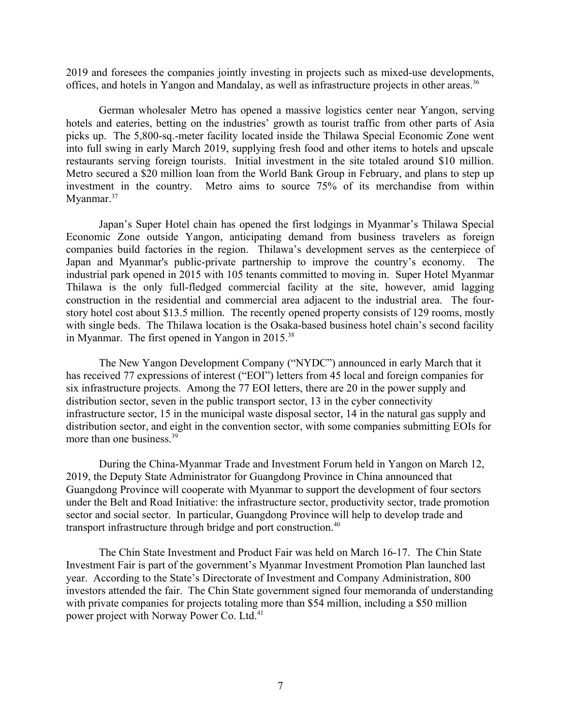2019 and foresees the companies jointly investing in projects such as mixed-use developments, offices, and hotels in Yangon and Mandalay, as well as infrastructure projects in other areas.<sup>36</sup>

German wholesaler Metro has opened a massive logistics center near Yangon, serving hotels and eateries, betting on the industries' growth as tourist traffic from other parts of Asia picks up. The 5,800-sq.-meter facility located inside the Thilawa Special Economic Zone went into full swing in early March 2019, supplying fresh food and other items to hotels and upscale restaurants serving foreign tourists. Initial investment in the site totaled around \$10 million. Metro secured a \$20 million loan from the World Bank Group in February, and plans to step up investment in the country. Metro aims to source 75% of its merchandise from within Myanmar.<sup>37</sup>

Japan's Super Hotel chain has opened the first lodgings in Myanmar's Thilawa Special Economic Zone outside Yangon, anticipating demand from business travelers as foreign companies build factories in the region. Thilawa's development serves as the centerpiece of Japan and Myanmar's public-private partnership to improve the country's economy. The industrial park opened in 2015 with 105 tenants committed to moving in. Super Hotel Myanmar Thilawa is the only full-fledged commercial facility at the site, however, amid lagging construction in the residential and commercial area adjacent to the industrial area. The fourstory hotel cost about \$13.5 million. The recently opened property consists of 129 rooms, mostly with single beds. The Thilawa location is the Osaka-based business hotel chain's second facility in Myanmar. The first opened in Yangon in  $2015^{38}$ 

The New Yangon Development Company ("NYDC") announced in early March that it has received 77 expressions of interest ("EOI") letters from 45 local and foreign companies for six infrastructure projects. Among the 77 EOI letters, there are 20 in the power supply and distribution sector, seven in the public transport sector, 13 in the cyber connectivity infrastructure sector, 15 in the municipal waste disposal sector, 14 in the natural gas supply and distribution sector, and eight in the convention sector, with some companies submitting EOIs for more than one business.<sup>39</sup>

During the China-Myanmar Trade and Investment Forum held in Yangon on March 12, 2019, the Deputy State Administrator for Guangdong Province in China announced that Guangdong Province will cooperate with Myanmar to support the development of four sectors under the Belt and Road Initiative: the infrastructure sector, productivity sector, trade promotion sector and social sector. In particular, Guangdong Province will help to develop trade and transport infrastructure through bridge and port construction.<sup>40</sup>

The Chin State Investment and Product Fair was held on March 16-17. The Chin State Investment Fair is part of the government's Myanmar Investment Promotion Plan launched last year. According to the State's Directorate of Investment and Company Administration, 800 investors attended the fair. The Chin State government signed four memoranda of understanding with private companies for projects totaling more than \$54 million, including a \$50 million power project with Norway Power Co. Ltd.<sup>41</sup>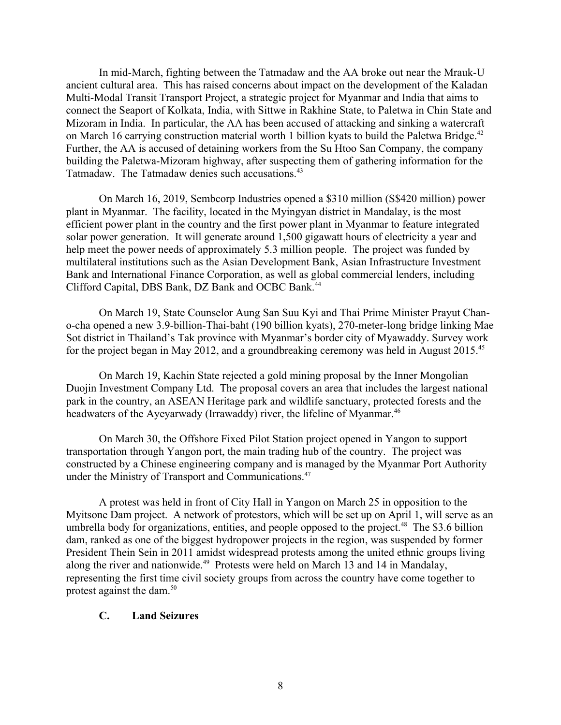In mid-March, fighting between the Tatmadaw and the AA broke out near the Mrauk-U ancient cultural area. This has raised concerns about impact on the development of the Kaladan Multi-Modal Transit Transport Project, a strategic project for Myanmar and India that aims to connect the Seaport of Kolkata, India, with Sittwe in Rakhine State, to Paletwa in Chin State and Mizoram in India. In particular, the AA has been accused of attacking and sinking a watercraft on March 16 carrying construction material worth 1 billion kyats to build the Paletwa Bridge. $42$ Further, the AA is accused of detaining workers from the Su Htoo San Company, the company building the Paletwa-Mizoram highway, after suspecting them of gathering information for the Tatmadaw. The Tatmadaw denies such accusations.<sup>43</sup>

On March 16, 2019, Sembcorp Industries opened a \$310 million (S\$420 million) power plant in Myanmar. The facility, located in the Myingyan district in Mandalay, is the most efficient power plant in the country and the first power plant in Myanmar to feature integrated solar power generation. It will generate around 1,500 gigawatt hours of electricity a year and help meet the power needs of approximately 5.3 million people. The project was funded by multilateral institutions such as the Asian Development Bank, Asian Infrastructure Investment Bank and International Finance Corporation, as well as global commercial lenders, including Clifford Capital, DBS Bank, DZ Bank and OCBC Bank.<sup>44</sup>

On March 19, State Counselor Aung San Suu Kyi and Thai Prime Minister Prayut Chano-cha opened a new 3.9-billion-Thai-baht (190 billion kyats), 270-meter-long bridge linking Mae Sot district in Thailand's Tak province with Myanmar's border city of Myawaddy. Survey work for the project began in May 2012, and a groundbreaking ceremony was held in August 2015.<sup>45</sup>

On March 19, Kachin State rejected a gold mining proposal by the Inner Mongolian Duojin Investment Company Ltd. The proposal covers an area that includes the largest national park in the country, an ASEAN Heritage park and wildlife sanctuary, protected forests and the headwaters of the Ayeyarwady (Irrawaddy) river, the lifeline of Myanmar.<sup>46</sup>

On March 30, the Offshore Fixed Pilot Station project opened in Yangon to support transportation through Yangon port, the main trading hub of the country. The project was constructed by a Chinese engineering company and is managed by the Myanmar Port Authority under the Ministry of Transport and Communications.<sup>47</sup>

A protest was held in front of City Hall in Yangon on March 25 in opposition to the Myitsone Dam project. A network of protestors, which will be set up on April 1, will serve as an umbrella body for organizations, entities, and people opposed to the project.<sup>48</sup> The \$3.6 billion dam, ranked as one of the biggest hydropower projects in the region, was suspended by former President Thein Sein in 2011 amidst widespread protests among the united ethnic groups living along the river and nationwide.<sup>49</sup> Protests were held on March 13 and 14 in Mandalay, representing the first time civil society groups from across the country have come together to protest against the dam.<sup>50</sup>

#### **C. Land Seizures**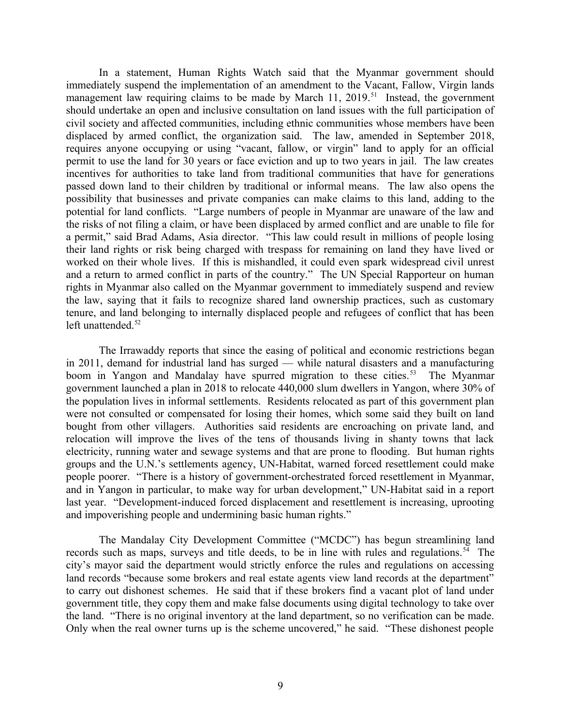In a statement, Human Rights Watch said that the Myanmar government should immediately suspend the implementation of an amendment to the Vacant, Fallow, Virgin lands management law requiring claims to be made by March 11, 2019.<sup>51</sup> Instead, the government should undertake an open and inclusive consultation on land issues with the full participation of civil society and affected communities, including ethnic communities whose members have been displaced by armed conflict, the organization said. The law, amended in September 2018, requires anyone occupying or using "vacant, fallow, or virgin" land to apply for an official permit to use the land for 30 years or face eviction and up to two years in jail. The law creates incentives for authorities to take land from traditional communities that have for generations passed down land to their children by traditional or informal means. The law also opens the possibility that businesses and private companies can make claims to this land, adding to the potential for land conflicts. "Large numbers of people in Myanmar are unaware of the law and the risks of not filing a claim, or have been displaced by armed conflict and are unable to file for a permit," said Brad Adams, Asia director. "This law could result in millions of people losing their land rights or risk being charged with trespass for remaining on land they have lived or worked on their whole lives. If this is mishandled, it could even spark widespread civil unrest and a return to armed conflict in parts of the country." The UN Special Rapporteur on human rights in Myanmar also called on the Myanmar government to immediately suspend and review the law, saying that it fails to recognize shared land ownership practices, such as customary tenure, and land belonging to internally displaced people and refugees of conflict that has been left unattended.<sup>52</sup>

The Irrawaddy reports that since the easing of political and economic restrictions began in 2011, demand for industrial land has surged — while natural disasters and a manufacturing boom in Yangon and Mandalay have spurred migration to these cities.<sup>53</sup> The Myanmar government launched a plan in 2018 to relocate 440,000 slum dwellers in Yangon, where 30% of the population lives in informal settlements. Residents relocated as part of this government plan were not consulted or compensated for losing their homes, which some said they built on land bought from other villagers. Authorities said residents are encroaching on private land, and relocation will improve the lives of the tens of thousands living in shanty towns that lack electricity, running water and sewage systems and that are prone to flooding. But human rights groups and the U.N.'s settlements agency, UN-Habitat, warned forced resettlement could make people poorer. "There is a history of government-orchestrated forced resettlement in Myanmar, and in Yangon in particular, to make way for urban development," UN-Habitat said in a report last year. "Development-induced forced displacement and resettlement is increasing, uprooting and impoverishing people and undermining basic human rights."

The Mandalay City Development Committee ("MCDC") has begun streamlining land records such as maps, surveys and title deeds, to be in line with rules and regulations.<sup>54</sup> The city's mayor said the department would strictly enforce the rules and regulations on accessing land records "because some brokers and real estate agents view land records at the department" to carry out dishonest schemes. He said that if these brokers find a vacant plot of land under government title, they copy them and make false documents using digital technology to take over the land. "There is no original inventory at the land department, so no verification can be made. Only when the real owner turns up is the scheme uncovered," he said. "These dishonest people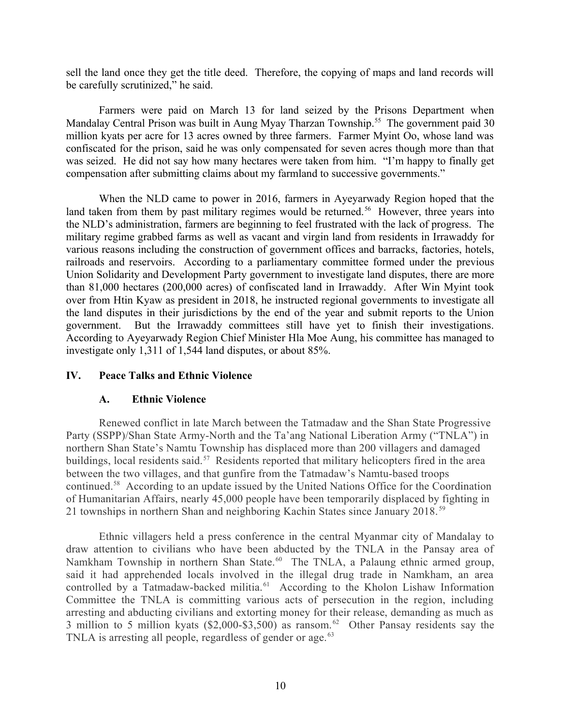sell the land once they get the title deed. Therefore, the copying of maps and land records will be carefully scrutinized," he said.

Farmers were paid on March 13 for land seized by the Prisons Department when Mandalay Central Prison was built in Aung Myay Tharzan Township.<sup>55</sup> The government paid 30 million kyats per acre for 13 acres owned by three farmers. Farmer Myint Oo, whose land was confiscated for the prison, said he was only compensated for seven acres though more than that was seized. He did not say how many hectares were taken from him. "I'm happy to finally get compensation after submitting claims about my farmland to successive governments."

When the NLD came to power in 2016, farmers in Ayeyarwady Region hoped that the land taken from them by past military regimes would be returned.<sup>56</sup> However, three years into the NLD's administration, farmers are beginning to feel frustrated with the lack of progress. The military regime grabbed farms as well as vacant and virgin land from residents in Irrawaddy for various reasons including the construction of government offices and barracks, factories, hotels, railroads and reservoirs. According to a parliamentary committee formed under the previous Union Solidarity and Development Party government to investigate land disputes, there are more than 81,000 hectares (200,000 acres) of confiscated land in Irrawaddy. After Win Myint took over from Htin Kyaw as president in 2018, he instructed regional governments to investigate all the land disputes in their jurisdictions by the end of the year and submit reports to the Union government. But the Irrawaddy committees still have yet to finish their investigations. According to Ayeyarwady Region Chief Minister Hla Moe Aung, his committee has managed to investigate only 1,311 of 1,544 land disputes, or about 85%.

## **IV. Peace Talks and Ethnic Violence**

#### <span id="page-9-1"></span><span id="page-9-0"></span>**A. Ethnic Violence**

Renewed conflict in late March between the Tatmadaw and the Shan State Progressive Party (SSPP)/Shan State Army-North and the Ta'ang National Liberation Army ("TNLA") in northern Shan State's Namtu Township has displaced more than 200 villagers and damaged buildings, local residents said.<sup>57</sup> Residents reported that military helicopters fired in the area between the two villages, and that gunfire from the Tatmadaw's Namtu-based troops continued.<sup>58</sup> According to an update issued by the United Nations Office for the Coordination of Humanitarian Affairs, nearly 45,000 people have been temporarily displaced by fighting in 21 townships in northern Shan and neighboring Kachin States since January 2018. <sup>59</sup>

Ethnic villagers held a press conference in the central Myanmar city of Mandalay to draw attention to civilians who have been abducted by the TNLA in the Pansay area of Namkham Township in northern Shan State.<sup>60</sup> The TNLA, a Palaung ethnic armed group, said it had apprehended locals involved in the illegal drug trade in Namkham, an area controlled by a Tatmadaw-backed militia.<sup>61</sup> According to the Kholon Lishaw Information Committee the TNLA is committing various acts of persecution in the region, including arresting and abducting civilians and extorting money for their release, demanding as much as 3 million to 5 million kyats (\$2,000-\$3,500) as ransom. <sup>62</sup> Other Pansay residents say the TNLA is arresting all people, regardless of gender or age.<sup>63</sup>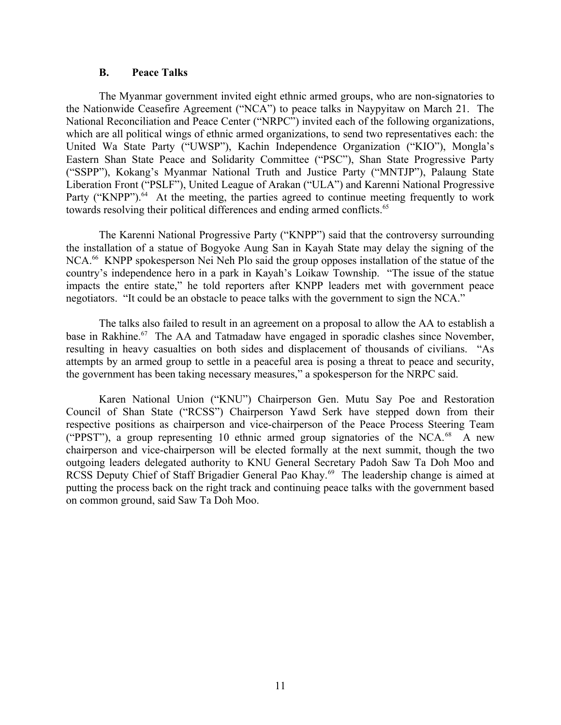#### <span id="page-10-0"></span>**B. Peace Talks**

The Myanmar government invited eight ethnic armed groups, who are non-signatories to the Nationwide Ceasefire Agreement ("NCA") to peace talks in Naypyitaw on March 21. The National Reconciliation and Peace Center ("NRPC") invited each of the following organizations, which are all political wings of ethnic armed organizations, to send two representatives each: the United Wa State Party ("UWSP"), Kachin Independence Organization ("KIO"), Mongla's Eastern Shan State Peace and Solidarity Committee ("PSC"), Shan State Progressive Party ("SSPP"), Kokang's Myanmar National Truth and Justice Party ("MNTJP"), Palaung State Liberation Front ("PSLF"), United League of Arakan ("ULA") and Karenni National Progressive Party ("KNPP").<sup>64</sup> At the meeting, the parties agreed to continue meeting frequently to work towards resolving their political differences and ending armed conflicts.<sup>65</sup>

The Karenni National Progressive Party ("KNPP") said that the controversy surrounding the installation of a statue of Bogyoke Aung San in Kayah State may delay the signing of the NCA.<sup>66</sup> KNPP spokesperson Nei Neh Plo said the group opposes installation of the statue of the country's independence hero in a park in Kayah's Loikaw Township. "The issue of the statue impacts the entire state," he told reporters after KNPP leaders met with government peace negotiators. "It could be an obstacle to peace talks with the government to sign the NCA."

The talks also failed to result in an agreement on a proposal to allow the AA to establish a base in Rakhine.<sup>67</sup> The AA and Tatmadaw have engaged in sporadic clashes since November, resulting in heavy casualties on both sides and displacement of thousands of civilians. "As attempts by an armed group to settle in a peaceful area is posing a threat to peace and security, the government has been taking necessary measures," a spokesperson for the NRPC said.

Karen National Union ("KNU") Chairperson Gen. Mutu Say Poe and Restoration Council of Shan State ("RCSS") Chairperson Yawd Serk have stepped down from their respective positions as chairperson and vice-chairperson of the Peace Process Steering Team ("PPST"), a group representing 10 ethnic armed group signatories of the NCA. $^{68}$  A new chairperson and vice-chairperson will be elected formally at the next summit, though the two outgoing leaders delegated authority to KNU General Secretary Padoh Saw Ta Doh Moo and RCSS Deputy Chief of Staff Brigadier General Pao Khay.<sup>69</sup> The leadership change is aimed at putting the process back on the right track and continuing peace talks with the government based on common ground, said Saw Ta Doh Moo.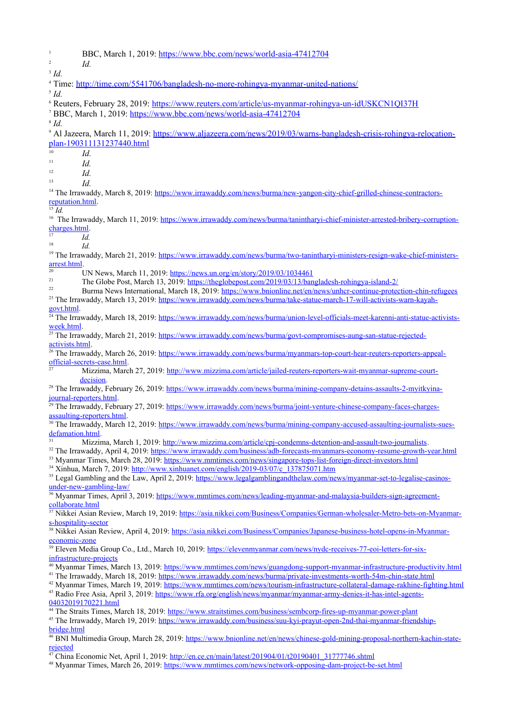- 1 BBC, March 1, 2019:<https://www.bbc.com/news/world-asia-47412704> 2
- 

| $\overline{c}$<br>Id.                                                                                                                                           |
|-----------------------------------------------------------------------------------------------------------------------------------------------------------------|
| $3$ Id.                                                                                                                                                         |
| <sup>4</sup> Time: http://time.com/5541706/bangladesh-no-more-rohingya-myanmar-united-nations/                                                                  |
| $5$ Id.                                                                                                                                                         |
| <sup>6</sup> Reuters, February 28, 2019: https://www.reuters.com/article/us-myanmar-rohingya-un-idUSKCN10137H                                                   |
| <sup>7</sup> BBC, March 1, 2019: https://www.bbc.com/news/world-asia-47412704                                                                                   |
| $8$ Id.                                                                                                                                                         |
| <sup>9</sup> Al Jazeera, March 11, 2019: https://www.aljazeera.com/news/2019/03/warns-bangladesh-crisis-rohingya-relocation-                                    |
|                                                                                                                                                                 |
| plan-190311131237440.html<br>10                                                                                                                                 |
| Id.<br>11                                                                                                                                                       |
| Id.<br>12                                                                                                                                                       |
| Id.<br>13                                                                                                                                                       |
| Id.                                                                                                                                                             |
| <sup>14</sup> The Irrawaddy, March 8, 2019: https://www.irrawaddy.com/news/burma/new-yangon-city-chief-grilled-chinese-contractors-                             |
| reputation.html.<br>$^{15}$ Id.                                                                                                                                 |
| <sup>16</sup> The Irrawaddy, March 11, 2019: https://www.irrawaddy.com/news/burma/tanintharyi-chief-minister-arrested-bribery-corruption-                       |
| charges.html.                                                                                                                                                   |
| 17<br>Id.                                                                                                                                                       |
| 18<br>Id.                                                                                                                                                       |
| <sup>19</sup> The Irrawaddy, March 21, 2019: https://www.irrawaddy.com/news/burma/two-tanintharyi-ministers-resign-wake-chief-ministers-                        |
| arrest.html.                                                                                                                                                    |
| 20<br>UN News, March 11, 2019: https://news.un.org/en/story/2019/03/1034461                                                                                     |
| 21<br>The Globe Post, March 13, 2019: https://theglobepost.com/2019/03/13/bangladesh-rohingya-island-2/                                                         |
| 22<br>Burma News International, March 18, 2019: https://www.bnionline.net/en/news/unhcr-continue-protection-chin-refugees                                       |
| <sup>23</sup> The Irrawaddy, March 13, 2019: https://www.irrawaddy.com/news/burma/take-statue-march-17-will-activists-warn-kayah-                               |
| govt.html.                                                                                                                                                      |
| <sup>24</sup> The Irrawaddy, March 18, 2019: https://www.irrawaddy.com/news/burma/union-level-officials-meet-karenni-anti-statue-activists-                     |
| week.html.                                                                                                                                                      |
| <sup>25</sup> The Irrawaddy, March 21, 2019: https://www.irrawaddy.com/news/burma/govt-compromises-aung-san-statue-rejected-                                    |
| activists.html.                                                                                                                                                 |
| <sup>26</sup> The Irrawaddy, March 26, 2019: https://www.irrawaddy.com/news/burma/myanmars-top-court-hear-reuters-reporters-appeal-                             |
| official-secrets-case.html.                                                                                                                                     |
| 27                                                                                                                                                              |
| Mizzima, March 27, 2019: http://www.mizzima.com/article/jailed-reuters-reporters-wait-myanmar-supreme-court-                                                    |
| decision.                                                                                                                                                       |
| <sup>28</sup> The Irrawaddy, February 26, 2019: https://www.irrawaddy.com/news/burma/mining-company-detains-assaults-2-myitkyina-                               |
| journal-reporters.html.                                                                                                                                         |
| <sup>29</sup> The Irrawaddy, February 27, 2019: https://www.irrawaddy.com/news/burma/joint-venture-chinese-company-faces-charges-<br>assaulting-reporters.html. |
| <sup>30</sup> The Irrawaddy, March 12, 2019: https://www.irrawaddy.com/news/burma/mining-company-accused-assaulting-journalists-sues-                           |
| defamation html.                                                                                                                                                |
| 31<br>Mizzima, March 1, 2019: http://www.mizzima.com/article/cpj-condemns-detention-and-assault-two-journalists.                                                |
| <sup>32</sup> The Irrawaddy, April 4, 2019: https://www.irrawaddy.com/business/adb-forecasts-myanmars-economy-resume-growth-year.html                           |
| <sup>33</sup> Myanmar Times, March 28, 2019: https://www.mmtimes.com/news/singapore-tops-list-foreign-direct-investors.html                                     |
| <sup>34</sup> Xinhua, March 7, 2019: http://www.xinhuanet.com/english/2019-03/07/c 137875071.htm                                                                |
| <sup>35</sup> Legal Gambling and the Law, April 2, 2019: https://www.legalgamblingandthelaw.com/news/myanmar-set-to-legalise-casinos-                           |
| under-new-gambling-law/                                                                                                                                         |
| <sup>36</sup> Myanmar Times, April 3, 2019: https://www.mmtimes.com/news/leading-myanmar-and-malaysia-builders-sign-agreement-                                  |
| collaborate.html                                                                                                                                                |
| <sup>37</sup> Nikkei Asian Review, March 19, 2019; https://asia.nikkei.com/Business/Companies/German-wholesaler-Metro-bets-on-Myanmar-                          |
| s-hospitality-sector                                                                                                                                            |
| <sup>38</sup> Nikkei Asian Review, April 4, 2019: https://asia.nikkei.com/Business/Companies/Japanese-business-hotel-opens-in-Myanmar-<br>economic-zone         |
|                                                                                                                                                                 |
| <sup>39</sup> Eleven Media Group Co., Ltd., March 10, 2019: https://elevenmyanmar.com/news/nydc-receives-77-eoi-letters-for-six-<br>infrastructure-projects     |
| <sup>40</sup> Myanmar Times, March 13, 2019: https://www.mmtimes.com/news/guangdong-support-myanmar-infrastructure-productivity.html                            |
| <sup>41</sup> The Irrawaddy, March 18, 2019: https://www.irrawaddy.com/news/burma/private-investments-worth-54m-chin-state.html                                 |
| <sup>42</sup> Myanmar Times, March 19, 2019: https://www.mmtimes.com/news/tourism-infrastructure-collateral-damage-rakhine-fighting.html                        |
| <sup>43</sup> Radio Free Asia, April 3, 2019: https://www.rfa.org/english/news/myanmar/myanmar-army-denies-it-has-intel-agents-                                 |
| 04032019170221.html                                                                                                                                             |
| <sup>44</sup> The Straits Times, March 18, 2019: https://www.straitstimes.com/business/sembcorp-fires-up-myanmar-power-plant                                    |
| <sup>45</sup> The Irrawaddy, March 19, 2019: https://www.irrawaddy.com/business/suu-kyi-prayut-open-2nd-thai-myanmar-friendship-                                |
| bridge.html                                                                                                                                                     |
| <sup>46</sup> BNI Multimedia Group, March 28, 2019: https://www.bnionline.net/en/news/chinese-gold-mining-proposal-northern-kachin-state-                       |
| rejected<br><sup>47</sup> China Economic Net, April 1, 2019: http://en.ce.cn/main/latest/201904/01/t20190401 31777746.shtml                                     |